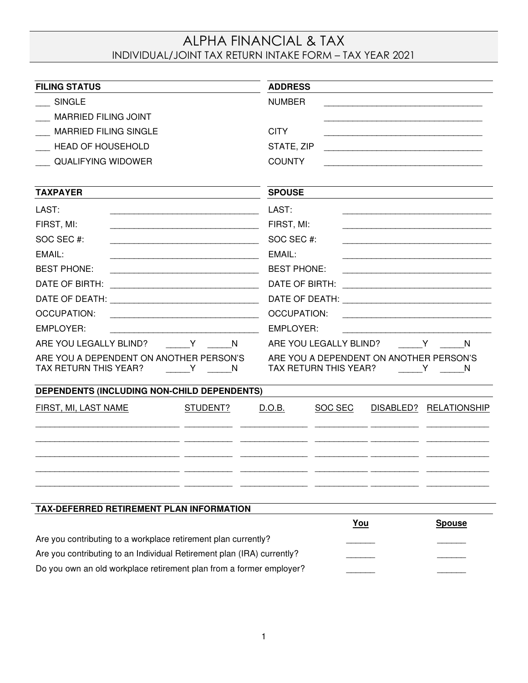# ALPHA FINANCIAL & TAX INDIVIDUAL/JOINT TAX RETURN INTAKE FORM – TAX YEAR 2021

| <b>FILING STATUS</b>                                                          |          | <b>ADDRESS</b>                                                                                                                              |                                                                  |  |                        |
|-------------------------------------------------------------------------------|----------|---------------------------------------------------------------------------------------------------------------------------------------------|------------------------------------------------------------------|--|------------------------|
| <b>SINGLE</b>                                                                 |          | <b>NUMBER</b>                                                                                                                               |                                                                  |  |                        |
| <b>MARRIED FILING JOINT</b>                                                   |          |                                                                                                                                             |                                                                  |  |                        |
| <b>MARRIED FILING SINGLE</b>                                                  |          | <b>CITY</b>                                                                                                                                 |                                                                  |  |                        |
| <b>HEAD OF HOUSEHOLD</b>                                                      |          | STATE, ZIP<br><u> 1989 - Johann Barn, amerikansk politiker (d. 1989)</u>                                                                    |                                                                  |  |                        |
| <b>QUALIFYING WIDOWER</b>                                                     |          | <b>COUNTY</b>                                                                                                                               |                                                                  |  |                        |
|                                                                               |          |                                                                                                                                             |                                                                  |  |                        |
| <b>TAXPAYER</b>                                                               |          | <b>SPOUSE</b>                                                                                                                               |                                                                  |  |                        |
| LAST:                                                                         |          | LAST:                                                                                                                                       |                                                                  |  |                        |
| FIRST, MI:<br><u> 1989 - Andrea Stadt Britain, amerikansk politiker (</u>     |          | FIRST, MI:                                                                                                                                  |                                                                  |  |                        |
| SOC SEC #:                                                                    |          | SOC SEC #:                                                                                                                                  |                                                                  |  |                        |
| EMAIL:                                                                        |          | EMAIL:                                                                                                                                      |                                                                  |  |                        |
| <b>BEST PHONE:</b>                                                            |          | <b>BEST PHONE:</b><br><u> 1989 - Johann Barbara, martin amerikan personal (</u>                                                             |                                                                  |  |                        |
| DATE OF BIRTH:                                                                |          | DATE OF BIRTH:                                                                                                                              |                                                                  |  |                        |
|                                                                               |          |                                                                                                                                             |                                                                  |  |                        |
| <b>OCCUPATION:</b>                                                            |          | <b>OCCUPATION:</b><br><u> 1989 - Johann Barbara, martin amerikan basal dan berasal dalam basal dalam basal dalam basal dalam basal dala</u> |                                                                  |  |                        |
| <b>EMPLOYER:</b><br><u> 1989 - Johann Barbara, martin amerikan personal (</u> |          | <b>EMPLOYER:</b>                                                                                                                            |                                                                  |  |                        |
| ARE YOU LEGALLY BLIND?<br>N.<br>$\mathsf{Y}$ and $\mathsf{Y}$                 |          | ARE YOU LEGALLY BLIND?<br>N<br>$\mathsf{Y}$                                                                                                 |                                                                  |  |                        |
| ARE YOU A DEPENDENT ON ANOTHER PERSON'S<br>TAX RETURN THIS YEAR?<br>Y         | N        |                                                                                                                                             | ARE YOU A DEPENDENT ON ANOTHER PERSON'S<br>TAX RETURN THIS YEAR? |  | Y<br>N                 |
| DEPENDENTS (INCLUDING NON-CHILD DEPENDENTS)                                   |          |                                                                                                                                             |                                                                  |  |                        |
| FIRST, MI, LAST NAME                                                          | STUDENT? | D.O.B.                                                                                                                                      | SOC SEC                                                          |  | DISABLED? RELATIONSHIP |
|                                                                               |          |                                                                                                                                             |                                                                  |  |                        |
|                                                                               |          |                                                                                                                                             |                                                                  |  |                        |
| TAX-DEFERRED RETIREMENT PLAN INFORMATION                                      |          |                                                                                                                                             |                                                                  |  |                        |
|                                                                               |          |                                                                                                                                             | <u>You</u>                                                       |  | <b>Spouse</b>          |
| Are you contributing to a workplace retirement plan currently?                |          |                                                                                                                                             |                                                                  |  |                        |
| Are you contributing to an Individual Retirement plan (IRA) currently?        |          |                                                                                                                                             |                                                                  |  |                        |
| Do you own an old workplace retirement plan from a former employer?           |          |                                                                                                                                             |                                                                  |  |                        |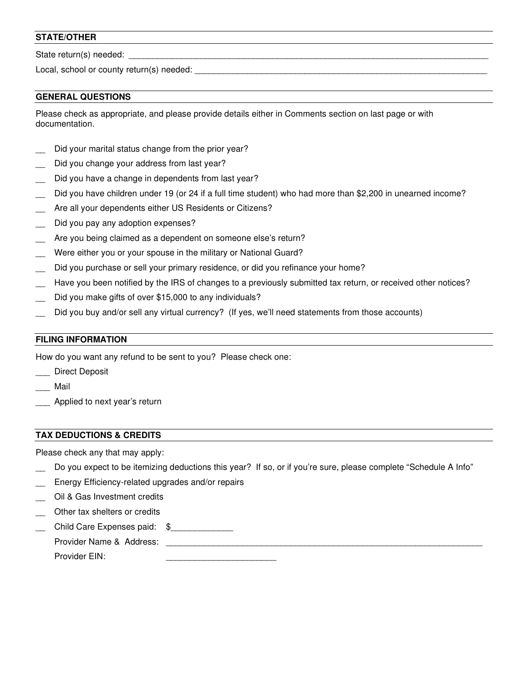## **STATE/OTHER**

State return(s) needed: \_\_\_\_\_\_\_\_\_\_\_\_\_\_\_\_\_\_\_\_\_\_\_\_\_\_\_\_\_\_\_\_\_\_\_\_\_\_\_\_\_\_\_\_\_\_\_\_\_\_\_\_\_\_\_\_\_\_\_\_\_\_\_\_\_\_\_\_\_\_\_\_\_\_\_

Local, school or county return(s) needed: \_\_\_\_\_\_\_\_\_\_\_\_\_\_\_\_\_\_\_\_\_\_\_\_\_\_\_\_\_\_\_\_\_\_\_\_\_\_\_\_\_\_\_\_\_\_\_\_\_\_\_\_\_\_\_\_\_\_\_\_\_

#### **GENERAL QUESTIONS**

Please check as appropriate, and please provide details either in Comments section on last page or with documentation.

- Did your marital status change from the prior year?
- Did you change your address from last year?
- Did you have a change in dependents from last year?
- Did you have children under 19 (or 24 if a full time student) who had more than \$2,200 in unearned income?
- Are all your dependents either US Residents or Citizens?
- Did you pay any adoption expenses?
- Are you being claimed as a dependent on someone else's return?
- Were either you or your spouse in the military or National Guard?
- Did you purchase or sell your primary residence, or did you refinance your home?
- Have you been notified by the IRS of changes to a previously submitted tax return, or received other notices?
- Did you make gifts of over \$15,000 to any individuals?
- Did you buy and/or sell any virtual currency? (If yes, we'll need statements from those accounts)

#### **FILING INFORMATION**

How do you want any refund to be sent to you? Please check one:

- \_\_\_ Direct Deposit
- \_\_\_ Mail
- Applied to next year's return

### **TAX DEDUCTIONS & CREDITS**

Please check any that may apply:

- Do you expect to be itemizing deductions this year? If so, or if you're sure, please complete "Schedule A Info"
- Energy Efficiency-related upgrades and/or repairs
- Oil & Gas Investment credits
- Other tax shelters or credits
- Child Care Expenses paid: \$

| $\sim$ |        |
|--------|--------|
|        | ______ |
|        |        |